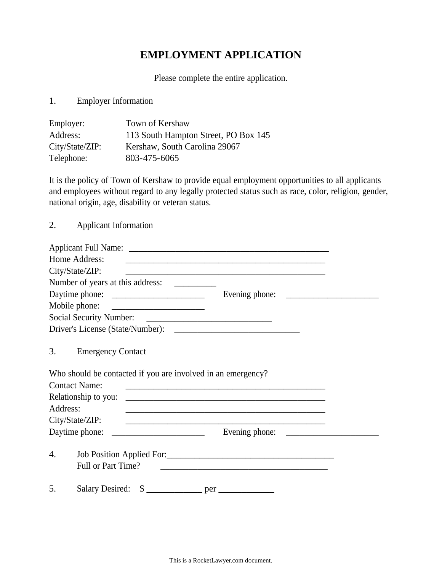## **EMPLOYMENT APPLICATION**

Please complete the entire application.

1. Employer Information

| Employer:       | Town of Kershaw                      |
|-----------------|--------------------------------------|
| Address:        | 113 South Hampton Street, PO Box 145 |
| City/State/ZIP: | Kershaw, South Carolina 29067        |
| Telephone:      | 803-475-6065                         |

It is the policy of Town of Kershaw to provide equal employment opportunities to all applicants and employees without regard to any legally protected status such as race, color, religion, gender, national origin, age, disability or veteran status.

2. Applicant Information

| Home Address:                                                | <u> 1989 - Andrea Stadt, fransk politiker (d. 1989)</u>                                                               |  |
|--------------------------------------------------------------|-----------------------------------------------------------------------------------------------------------------------|--|
| City/State/ZIP:                                              | <u> 1989 - Johann John Stone, markin film yn y brenin y brenin y brenin y brenin y brenin y brenin y brenin y br</u>  |  |
|                                                              |                                                                                                                       |  |
|                                                              |                                                                                                                       |  |
|                                                              |                                                                                                                       |  |
|                                                              |                                                                                                                       |  |
|                                                              |                                                                                                                       |  |
| 3.<br><b>Emergency Contact</b>                               |                                                                                                                       |  |
| Who should be contacted if you are involved in an emergency? |                                                                                                                       |  |
| <b>Contact Name:</b>                                         | <u> 1989 - Johann Harry Harry Harry Harry Harry Harry Harry Harry Harry Harry Harry Harry Harry Harry Harry Harry</u> |  |
| Relationship to you:                                         |                                                                                                                       |  |
| Address:                                                     | <u> 1989 - Jan Samuel Barbara, margaret a shekara ta 1989 - An tsara tsara tsara tsara tsara tsara tsara tsara ts</u> |  |
| City/State/ZIP:                                              |                                                                                                                       |  |
| Daytime phone:                                               | Evening phone:                                                                                                        |  |
| 4.<br>Full or Part Time?                                     |                                                                                                                       |  |
| 5.                                                           |                                                                                                                       |  |

This is a RocketLawyer.com document.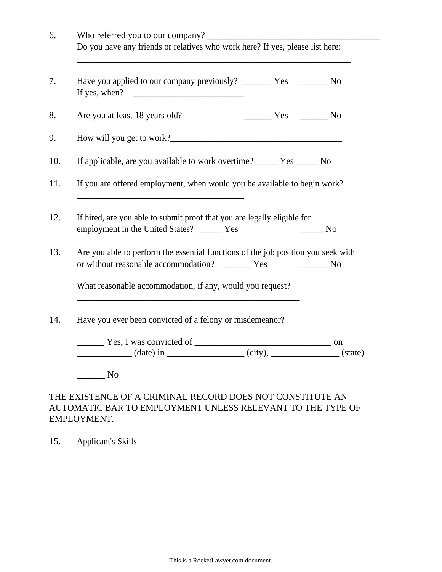| Have you applied to our company previously? ________ Yes ________ No                                                                                                                               |                                                                                                                                                                                                                                                                                                                                                                                                                                   |
|----------------------------------------------------------------------------------------------------------------------------------------------------------------------------------------------------|-----------------------------------------------------------------------------------------------------------------------------------------------------------------------------------------------------------------------------------------------------------------------------------------------------------------------------------------------------------------------------------------------------------------------------------|
| Are you at least 18 years old?                                                                                                                                                                     | $\frac{1}{\sqrt{1-\frac{1}{\sqrt{1-\frac{1}{\sqrt{1-\frac{1}{\sqrt{1-\frac{1}{\sqrt{1-\frac{1}{\sqrt{1-\frac{1}{\sqrt{1-\frac{1}{\sqrt{1-\frac{1}{\sqrt{1-\frac{1}{\sqrt{1-\frac{1}{\sqrt{1-\frac{1}{\sqrt{1-\frac{1}{\sqrt{1-\frac{1}{\sqrt{1-\frac{1}{\sqrt{1-\frac{1}{\sqrt{1-\frac{1}{\sqrt{1-\frac{1}{\sqrt{1-\frac{1}{\sqrt{1-\frac{1}{\sqrt{1-\frac{1}{\sqrt{1-\frac{1}{\sqrt{1-\frac{1}{\sqrt{1-\frac{1}{\sqrt{1-\frac{1$ |
|                                                                                                                                                                                                    |                                                                                                                                                                                                                                                                                                                                                                                                                                   |
| If applicable, are you available to work overtime? _________ Yes ________ No                                                                                                                       |                                                                                                                                                                                                                                                                                                                                                                                                                                   |
| If you are offered employment, when would you be available to begin work?                                                                                                                          |                                                                                                                                                                                                                                                                                                                                                                                                                                   |
| <u> 2008 - Jan James James James James James James James James James James James James James James James James Ja</u>                                                                              |                                                                                                                                                                                                                                                                                                                                                                                                                                   |
|                                                                                                                                                                                                    |                                                                                                                                                                                                                                                                                                                                                                                                                                   |
| If hired, are you able to submit proof that you are legally eligible for                                                                                                                           |                                                                                                                                                                                                                                                                                                                                                                                                                                   |
| employment in the United States? ______ Yes                                                                                                                                                        | No No                                                                                                                                                                                                                                                                                                                                                                                                                             |
|                                                                                                                                                                                                    |                                                                                                                                                                                                                                                                                                                                                                                                                                   |
|                                                                                                                                                                                                    | $\sim$ No                                                                                                                                                                                                                                                                                                                                                                                                                         |
| Are you able to perform the essential functions of the job position you seek with<br>or without reasonable accommodation? _______ Yes<br>What reasonable accommodation, if any, would you request? |                                                                                                                                                                                                                                                                                                                                                                                                                                   |
| Have you ever been convicted of a felony or misdemeanor?                                                                                                                                           |                                                                                                                                                                                                                                                                                                                                                                                                                                   |
| $Y$ es, I was convicted of $\qquad$ on $\qquad$ on $\qquad$ (date) in $\qquad$ (city), $\qquad$ (state)                                                                                            |                                                                                                                                                                                                                                                                                                                                                                                                                                   |

## THE EXISTENCE OF A CRIMINAL RECORD DOES NOT CONSTITUTE AN AUTOMATIC BAR TO EMPLOYMENT UNLESS RELEVANT TO THE TYPE OF EMPLOYMENT.

15. Applicant's Skills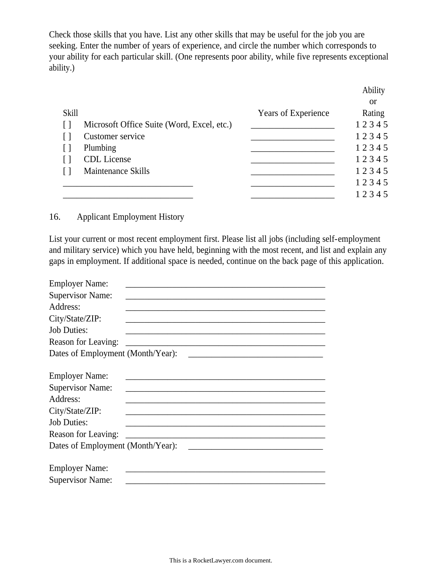Check those skills that you have. List any other skills that may be useful for the job you are seeking. Enter the number of years of experience, and circle the number which corresponds to your ability for each particular skill. (One represents poor ability, while five represents exceptional ability.)

|              |                                            |                     | Ability   |
|--------------|--------------------------------------------|---------------------|-----------|
|              |                                            |                     | <b>or</b> |
| <b>Skill</b> |                                            | Years of Experience | Rating    |
|              | Microsoft Office Suite (Word, Excel, etc.) |                     | 12345     |
|              | Customer service                           |                     | 12345     |
|              | Plumbing                                   |                     | 12345     |
|              | <b>CDL</b> License                         |                     | 12345     |
|              | <b>Maintenance Skills</b>                  |                     | 12345     |
|              |                                            |                     | 12345     |
|              |                                            |                     | 12345     |

## 16. Applicant Employment History

List your current or most recent employment first. Please list all jobs (including self-employment and military service) which you have held, beginning with the most recent, and list and explain any gaps in employment. If additional space is needed, continue on the back page of this application.

| <b>Employer Name:</b>                                                                                                                                             |  |
|-------------------------------------------------------------------------------------------------------------------------------------------------------------------|--|
| <b>Supervisor Name:</b>                                                                                                                                           |  |
| Address:                                                                                                                                                          |  |
| City/State/ZIP:                                                                                                                                                   |  |
| <b>Job Duties:</b>                                                                                                                                                |  |
| Reason for Leaving:                                                                                                                                               |  |
| Dates of Employment (Month/Year):                                                                                                                                 |  |
| <b>Employer Name:</b><br><b>Supervisor Name:</b><br>Address:<br>City/State/ZIP:<br><b>Job Duties:</b><br>Reason for Leaving:<br>Dates of Employment (Month/Year): |  |
| <b>Employer Name:</b><br><b>Supervisor Name:</b>                                                                                                                  |  |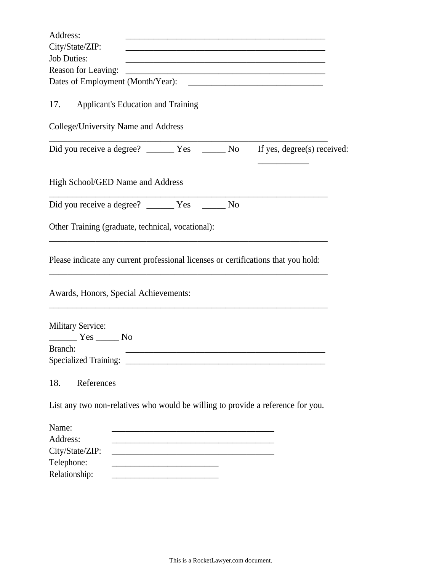| Address:                                                                           |                                                                                                                        |                                                         |
|------------------------------------------------------------------------------------|------------------------------------------------------------------------------------------------------------------------|---------------------------------------------------------|
| City/State/ZIP:                                                                    |                                                                                                                        | <u> 1980 - Jan Barbara, martxa al II-lea (h. 1980).</u> |
| <b>Job Duties:</b>                                                                 |                                                                                                                        |                                                         |
| Reason for Leaving:                                                                |                                                                                                                        |                                                         |
|                                                                                    |                                                                                                                        |                                                         |
| <b>Applicant's Education and Training</b><br>17.                                   |                                                                                                                        |                                                         |
| College/University Name and Address                                                |                                                                                                                        |                                                         |
|                                                                                    |                                                                                                                        | If yes, degree(s) received:                             |
| High School/GED Name and Address                                                   |                                                                                                                        |                                                         |
|                                                                                    |                                                                                                                        |                                                         |
| Other Training (graduate, technical, vocational):                                  |                                                                                                                        |                                                         |
| Please indicate any current professional licenses or certifications that you hold: |                                                                                                                        |                                                         |
| Awards, Honors, Special Achievements:                                              |                                                                                                                        |                                                         |
| <b>Military Service:</b><br>No Nestally No                                         |                                                                                                                        |                                                         |
| Branch:                                                                            |                                                                                                                        |                                                         |
|                                                                                    |                                                                                                                        |                                                         |
| References<br>18.                                                                  |                                                                                                                        |                                                         |
| List any two non-relatives who would be willing to provide a reference for you.    |                                                                                                                        |                                                         |
| Name:                                                                              | <u> 1989 - Johann Barbara, martin da basar da basar da basar da basar da basar da basar da basar da basar</u>          |                                                         |
| Address:                                                                           |                                                                                                                        |                                                         |
| City/State/ZIP:                                                                    | <u> 1989 - Johann John Stone, market fan it ferskearre fan it ferskearre fan it ferskearre fan it ferskearre fan i</u> |                                                         |
| Telephone:                                                                         |                                                                                                                        |                                                         |
| Relationship:                                                                      |                                                                                                                        |                                                         |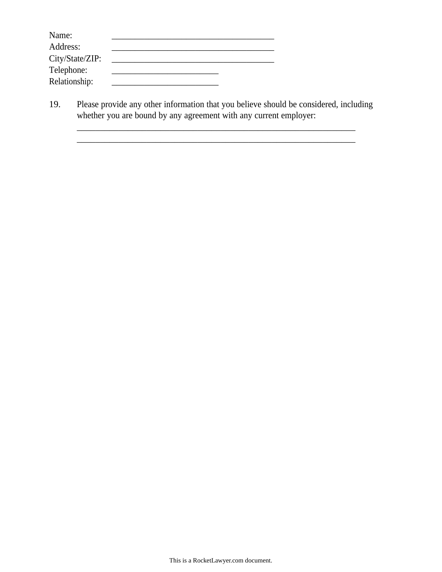| Name:           |  |
|-----------------|--|
| Address:        |  |
| City/State/ZIP: |  |
| Telephone:      |  |
| Relationship:   |  |

19. Please provide any other information that you believe should be considered, including whether you are bound by any agreement with any current employer:

\_\_\_\_\_\_\_\_\_\_\_\_\_\_\_\_\_\_\_\_\_\_\_\_\_\_\_\_\_\_\_\_\_\_\_\_\_\_\_\_\_\_\_\_\_\_\_\_\_\_\_\_\_\_\_\_\_\_\_\_ \_\_\_\_\_\_\_\_\_\_\_\_\_\_\_\_\_\_\_\_\_\_\_\_\_\_\_\_\_\_\_\_\_\_\_\_\_\_\_\_\_\_\_\_\_\_\_\_\_\_\_\_\_\_\_\_\_\_\_\_